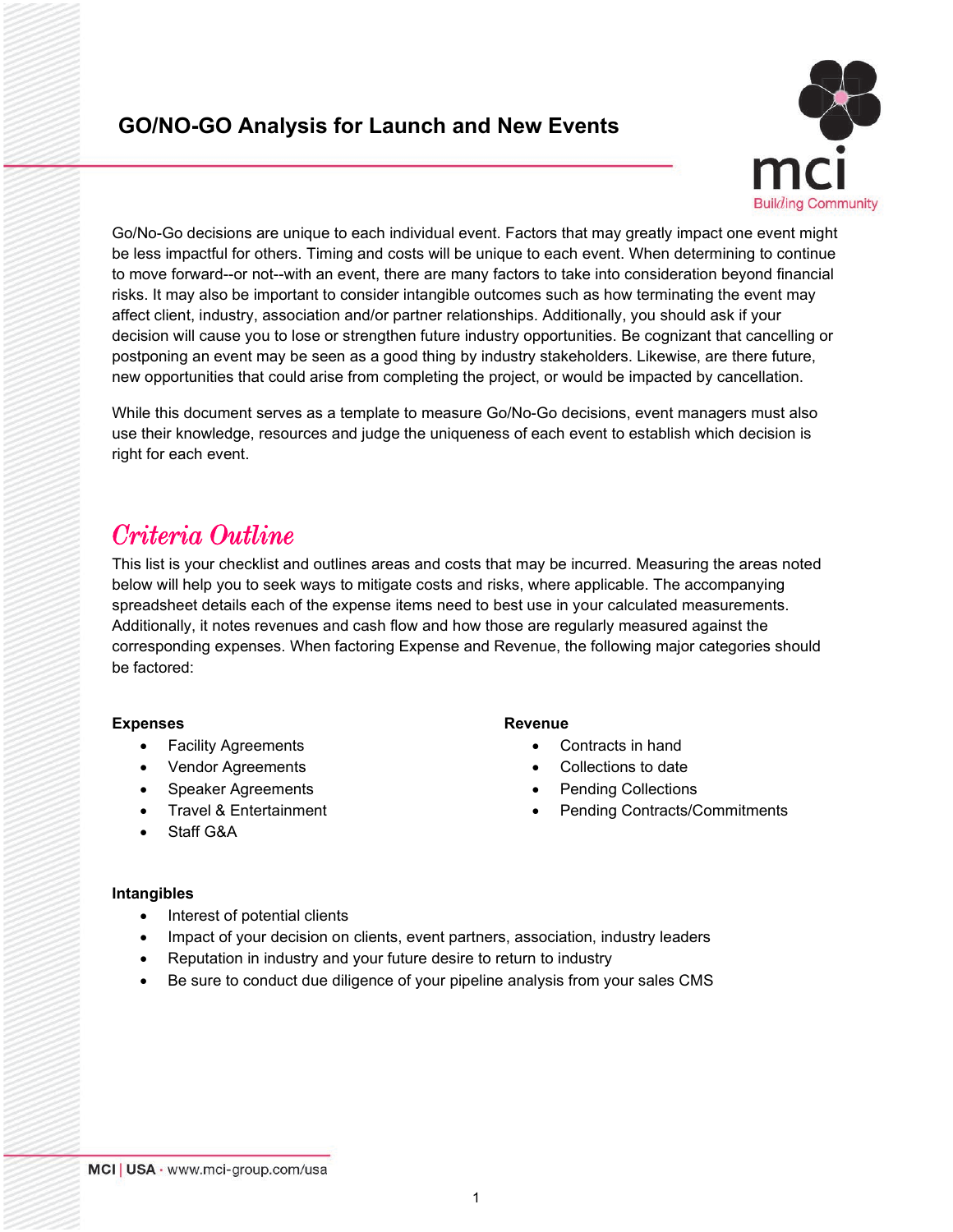### **GO/NO-GO Analysis for Launch and New Events**



Go/No-Go decisions are unique to each individual event. Factors that may greatly impact one event might be less impactful for others. Timing and costs will be unique to each event. When determining to continue to move forward--or not--with an event, there are many factors to take into consideration beyond financial risks. It may also be important to consider intangible outcomes such as how terminating the event may affect client, industry, association and/or partner relationships. Additionally, you should ask if your decision will cause you to lose or strengthen future industry opportunities. Be cognizant that cancelling or postponing an event may be seen as a good thing by industry stakeholders. Likewise, are there future, new opportunities that could arise from completing the project, or would be impacted by cancellation.

While this document serves as a template to measure Go/No-Go decisions, event managers must also use their knowledge, resources and judge the uniqueness of each event to establish which decision is right for each event.

# *Criteria Outline*

This list is your checklist and outlines areas and costs that may be incurred. Measuring the areas noted below will help you to seek ways to mitigate costs and risks, where applicable. The accompanying spreadsheet details each of the expense items need to best use in your calculated measurements. Additionally, it notes revenues and cash flow and how those are regularly measured against the corresponding expenses. When factoring Expense and Revenue, the following major categories should be factored:

#### **Expenses**

- Facility Agreements
- Vendor Agreements
- Speaker Agreements
- Travel & Entertainment

#### **Revenue**

- Contracts in hand
- Collections to date
- Pending Collections
- Pending Contracts/Commitments

• Staff G&A

#### **Intangibles**

- Interest of potential clients
- Impact of your decision on clients, event partners, association, industry leaders
- Reputation in industry and your future desire to return to industry
- Be sure to conduct due diligence of your pipeline analysis from your sales CMS